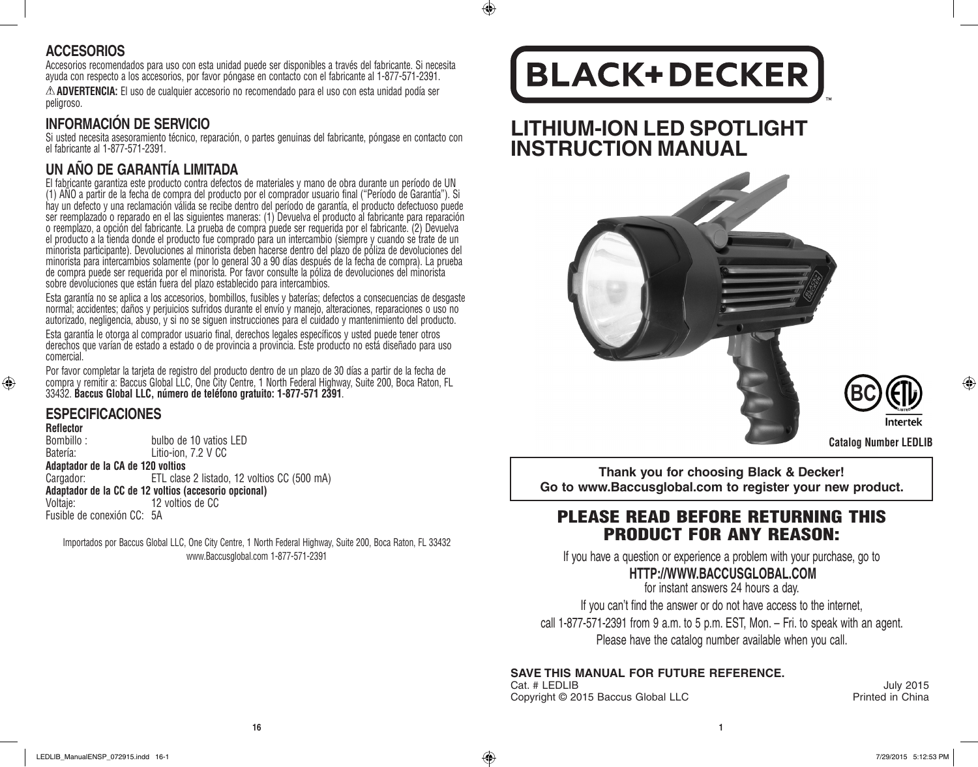# **ACCESORIOS**

Accesorios recomendados para uso con esta unidad puede ser disponibles a través del fabricante. Si necesita ayuda con respecto a los accesorios, por favor póngase en contacto con el fabricante al 1-877-571-2391.

**ADVERTENCIA:** El uso de cualquier accesorio no recomendado para el uso con esta unidad podía ser peligroso.

# **INFORMACIÓN DE SERVICIO**

Si usted necesita asesoramiento técnico, reparación, o partes genuinas del fabricante, póngase en contacto con el fabricante al 1-877-571-2391.

# **UN AÑO DE GARANTÍA LIMITADA**

El fabricante garantiza este producto contra defectos de materiales y mano de obra durante un período de UN (1) AÑO a partir de la fecha de compra del producto por el comprador usuario final ("Período de Garantía"). Si hay un defecto y una reclamación válida se recibe dentro del período de garantía, el producto defectuoso puede ser reemplazado o reparado en el las siguientes maneras: (1) Devuelva el producto al fabricante para reparación o reemplazo, a opción del fabricante. La prueba de compra puede ser requerida por el fabricante. (2) Devuelva el producto a la tienda donde el producto fue comprado para un intercambio (siempre y cuando se trate de un minorista participante). Devoluciones al minorista deben hacerse dentro del plazo de póliza de devoluciones del minorista para intercambios solamente (por lo general 30 a 90 días después de la fecha de compra). La prueba de compra puede ser requerida por el minorista. Por favor consulte la póliza de devoluciones del minorista sobre devoluciones que están fuera del plazo establecido para intercambios.

Esta garantía no se aplica a los accesorios, bombillos, fusibles y baterías; defectos a consecuencias de desgaste normal; accidentes; daños y perjuicios sufridos durante el envío y manejo, alteraciones, reparaciones o uso no autorizado, negligencia, abuso, y si no se siguen instrucciones para el cuidado y mantenimiento del producto. Esta garantía le otorga al comprador usuario final, derechos legales específicos y usted puede tener otros derechos que varían de estado a estado o de provincia a provincia. Este producto no está diseñado para uso comercial.

Por favor completar la tarjeta de registro del producto dentro de un plazo de 30 días a partir de la fecha de compra y remitir a: Baccus Global LLC, One City Centre, 1 North Federal Highway, Suite 200, Boca Raton, FL 33432. **Baccus Global LLC, número de teléfono gratuito: 1-877-571 2391**.

# **ESPECIFICACIONES**

**Reflector**

⊕

Bombillo : bulbo de 10 vatios LED Batería: Litio-ion, 7.2 V CC

**Adaptador de la CA de 120 voltios** Cargador: ETL clase 2 listado, 12 voltios CC (500 mA) **Adaptador de la CC de 12 voltios (accesorio opcional)** 12 voltios de CC

Fusible de conexión CC: 5A

Importados por Baccus Global LLC, One City Centre, 1 North Federal Highway, Suite 200, Boca Raton, FL 33432 www.Baccusglobal.com 1-877-571-2391

# **BLACK+DECKER**

 $\bigcirc$ 

# **LITHIUM-ION LED SPOTLIGHT INSTRUCTION MANUAL**



Intertek **Catalog Number LEDLIB**

**BC**

**Thank you for choosing Black & Decker! Go to www.Baccusglobal.com to register your new product.**

# PLEASE READ BEFORE RETURNING THIS PRODUCT FOR ANY REASON:

If you have a question or experience a problem with your purchase, go to

# **HTTP://WWW.BACCUSGLOBAL.COM**

for instant answers 24 hours a day. If you can't find the answer or do not have access to the internet, call 1-877-571-2391 from 9 a.m. to 5 p.m. EST, Mon. – Fri. to speak with an agent. Please have the catalog number available when you call.

# **SAVE THIS MANUAL FOR FUTURE REFERENCE.**

Cat. # LEDLIB July 2015<br>Copyright © 2015 Baccus Global LLC The Contract of Printed in China Copyright © 2015 Baccus Global LLC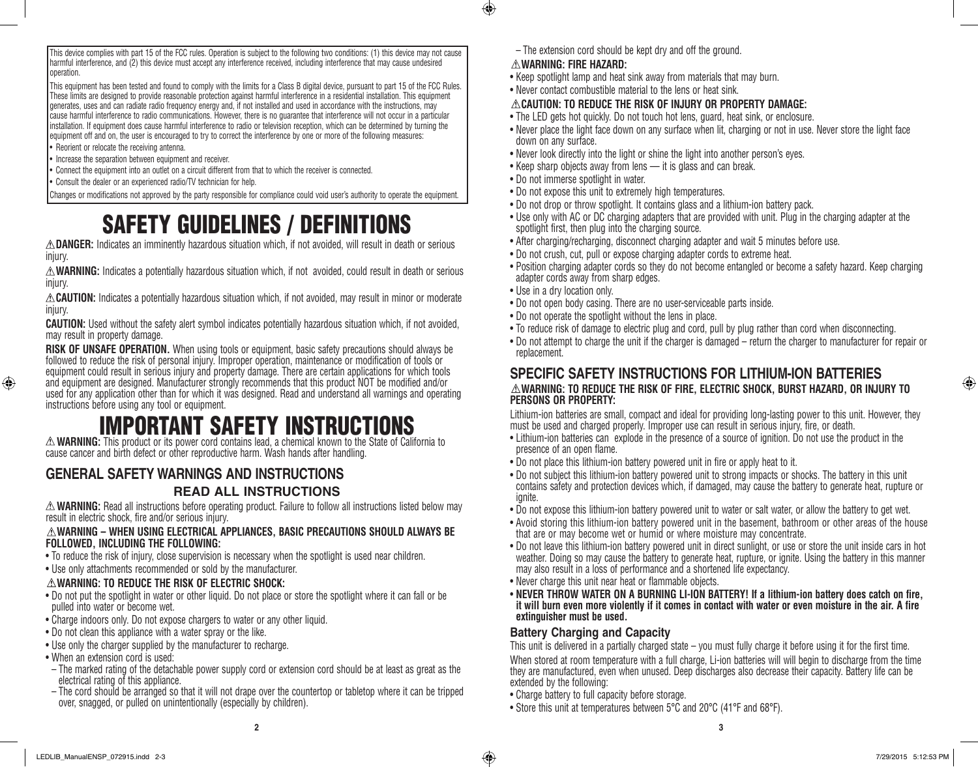This device complies with part 15 of the FCC rules. Operation is subject to the following two conditions: (1) this device may not cause harmful interference, and (2) this device must accept any interference received, including interference that may cause undesired operation.

This equipment has been tested and found to comply with the limits for a Class B digital device, pursuant to part 15 of the FCC Rules. These limits are designed to provide reasonable protection against harmful interference in a residential installation. This equipment generates, uses and can radiate radio frequency energy and, if not installed and used in accordance with the instructions, may cause harmful interference to radio communications. However, there is no guarantee that interference will not occur in a particular installation. If equipment does cause harmful interference to radio or television reception, which can be determined by turning the equipment off and on, the user is encouraged to try to correct the interference by one or more of the following measures: • Reorient or relocate the receiving antenna.

- Increase the separation between equipment and receiver.
- Connect the equipment into an outlet on a circuit different from that to which the receiver is connected.
- Consult the dealer or an experienced radio/TV technician for help.

Changes or modifications not approved by the party responsible for compliance could void user's authority to operate the equipment.

# SAFETY GUIDELINES / DEFINITIONS

**DANGER:** Indicates an imminently hazardous situation which, if not avoided, will result in death or serious injury.

**WARNING:** Indicates a potentially hazardous situation which, if not avoided, could result in death or serious injury.

**CAUTION:** Indicates a potentially hazardous situation which, if not avoided, may result in minor or moderate injury.

**CAUTION:** Used without the safety alert symbol indicates potentially hazardous situation which, if not avoided, may result in property damage.

**RISK OF UNSAFE OPERATION.** When using tools or equipment, basic safety precautions should always be followed to reduce the risk of personal injury. Improper operation, maintenance or modification of tools or equipment could result in serious injury and property damage. There are certain applications for which tools and equipment are designed. Manufacturer strongly recommends that this product NOT be modified and/or used for any application other than for which it was designed. Read and understand all warnings and operating instructions before using any tool or equipment.

# IMPORTANT SAFETY INSTRUCTIONS

**WARNING:** This product or its power cord contains lead, a chemical known to the State of California to cause cancer and birth defect or other reproductive harm. Wash hands after handling.

# **GENERAL SAFETY WARNINGS AND INSTRUCTIONS**

# **READ ALL INSTRUCTIONS**

**WARNING:** Read all instructions before operating product. Failure to follow all instructions listed below may result in electric shock, fire and/or serious injury.

#### **WARNING – WHEN USING ELECTRICAL APPLIANCES, BASIC PRECAUTIONS SHOULD ALWAYS BE FOLLOWED, INCLUDING THE FOLLOWING:**

- To reduce the risk of injury, close supervision is necessary when the spotlight is used near children.
- Use only attachments recommended or sold by the manufacturer.

#### **WARNING: TO REDUCE THE RISK OF ELECTRIC SHOCK:**

- Do not put the spotlight in water or other liquid. Do not place or store the spotlight where it can fall or be pulled into water or become wet.
- Charge indoors only. Do not expose chargers to water or any other liquid.
- Do not clean this appliance with a water spray or the like.
- Use only the charger supplied by the manufacturer to recharge.
- When an extension cord is used:

⊕

- The marked rating of the detachable power supply cord or extension cord should be at least as great as the electrical rating of this appliance.
- The cord should be arranged so that it will not drape over the countertop or tabletop where it can be tripped over, snagged, or pulled on unintentionally (especially by children).

– The extension cord should be kept dry and off the ground.

#### **WARNING: FIRE HAZARD:**

 $\bigcirc$ 

- Keep spotlight lamp and heat sink away from materials that may burn.
- Never contact combustible material to the lens or heat sink.

#### **CAUTION: TO REDUCE THE RISK OF INJURY OR PROPERTY DAMAGE:**

- The LED gets hot quickly. Do not touch hot lens, quard, heat sink, or enclosure.
- Never place the light face down on any surface when lit, charging or not in use. Never store the light face down on any surface.
- Never look directly into the light or shine the light into another person's eyes.
- Keep sharp objects away from lens it is glass and can break.
- Do not immerse spotlight in water.
- Do not expose this unit to extremely high temperatures.
- Do not drop or throw spotlight. It contains glass and a lithium-ion battery pack.
- Use only with AC or DC charging adapters that are provided with unit. Plug in the charging adapter at the spotlight first, then plug into the charging source.
- After charging/recharging, disconnect charging adapter and wait 5 minutes before use.
- Do not crush, cut, pull or expose charging adapter cords to extreme heat.
- Position charging adapter cords so they do not become entangled or become a safety hazard. Keep charging adapter cords away from sharp edges.
- Use in a dry location only.
- Do not open body casing. There are no user-serviceable parts inside.
- Do not operate the spotlight without the lens in place.
- To reduce risk of damage to electric plug and cord, pull by plug rather than cord when disconnecting.
- Do not attempt to charge the unit if the charger is damaged return the charger to manufacturer for repair or replacement.

## **SPECIFIC SAFETY INSTRUCTIONS FOR LITHIUM-ION BATTERIES WARNING: TO REDUCE THE RISK OF FIRE, ELECTRIC SHOCK, BURST HAZARD, OR INJURY TO PERSONS OR PROPERTY:**

Lithium-ion batteries are small, compact and ideal for providing long-lasting power to this unit. However, they must be used and charged properly. Improper use can result in serious injury, fire, or death.

- Lithium-ion batteries can explode in the presence of a source of ignition. Do not use the product in the presence of an open flame.
- Do not place this lithium-ion battery powered unit in fire or apply heat to it.
- Do not subject this lithium-ion battery powered unit to strong impacts or shocks. The battery in this unit contains safety and protection devices which, if damaged, may cause the battery to generate heat, rupture or ignite.
- Do not expose this lithium-ion battery powered unit to water or salt water, or allow the battery to get wet.
- Avoid storing this lithium-ion battery powered unit in the basement, bathroom or other areas of the house that are or may become wet or humid or where moisture may concentrate.
- Do not leave this lithium-ion battery powered unit in direct sunlight, or use or store the unit inside cars in hot weather. Doing so may cause the battery to generate heat, rupture, or ignite. Using the battery in this manner may also result in a loss of performance and a shortened life expectancy.
- Never charge this unit near heat or flammable objects.
- **NEVER THROW WATER ON A BURNING LI-ION BATTERY! If a lithium-ion battery does catch on fire, it will burn even more violently if it comes in contact with water or even moisture in the air. A fire extinguisher must be used.**

#### **Battery Charging and Capacity**

This unit is delivered in a partially charged state – you must fully charge it before using it for the first time.

When stored at room temperature with a full charge, Li-ion batteries will will begin to discharge from the time they are manufactured, even when unused. Deep discharges also decrease their capacity. Battery life can be extended by the following:

- Charge battery to full capacity before storage.
- Store this unit at temperatures between 5°C and 20°C (41°F and 68°F).

**2 3**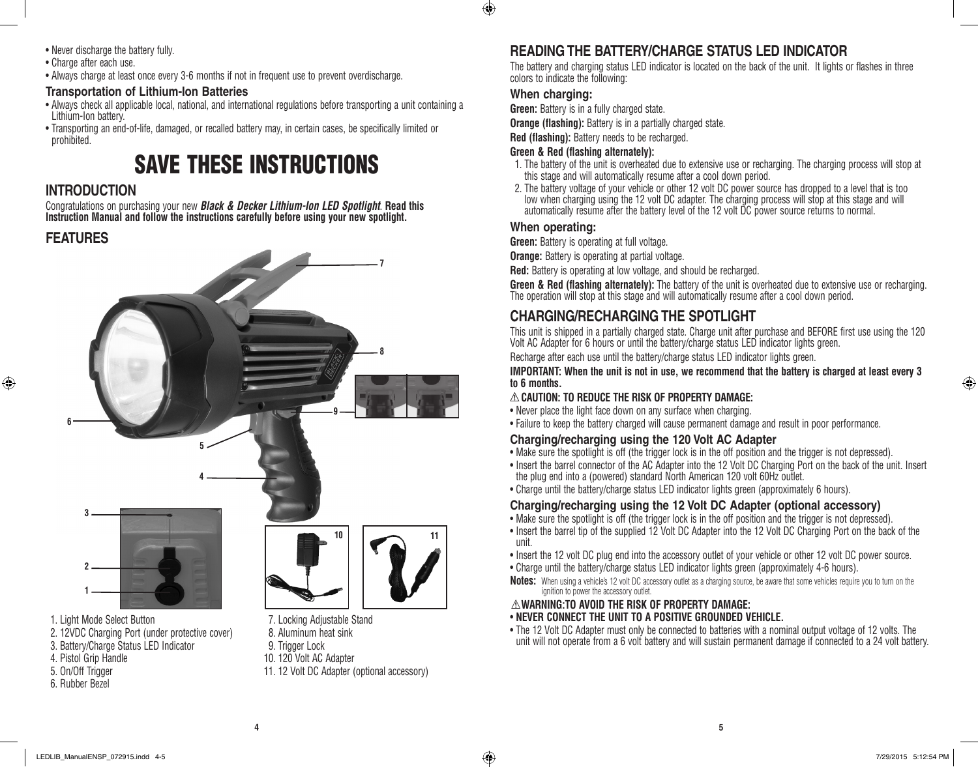- Never discharge the battery fully.
- Charge after each use.
- Always charge at least once every 3-6 months if not in frequent use to prevent overdischarge.

# **Transportation of Lithium-Ion Batteries**

- Always check all applicable local, national, and international regulations before transporting a unit containing a Lithium-Ion battery.
- Transporting an end-of-life, damaged, or recalled battery may, in certain cases, be specifically limited or prohibited.

# SAVE THESE INSTRUCTIONS

# **INTRODUCTION**

Congratulations on purchasing your new *Black & Decker Lithium-Ion LED Spotlight*. **Read this Instruction Manual and follow the instructions carefully before using your new spotlight.**

# **FEATURES**

⊕



10. 120 Volt AC Adapter

11. 12 Volt DC Adapter (optional accessory)

- 4. Pistol Grip Handle
- 5. On/Off Trigger
- 6. Rubber Bezel



The battery and charging status LED indicator is located on the back of the unit. It lights or flashes in three colors to indicate the following:

# **When charging:**

**Green:** Battery is in a fully charged state.

**Orange (flashing):** Battery is in a partially charged state.

**Red (flashing):** Battery needs to be recharged.

# **Green & Red (flashing alternately):**

- 1. The battery of the unit is overheated due to extensive use or recharging. The charging process will stop at this stage and will automatically resume after a cool down period.
- 2. The battery voltage of your vehicle or other 12 volt DC power source has dropped to a level that is too low when charging using the 12 volt DC adapter. The charging process will stop at this stage and will automatically resume after the battery level of the 12 volt DC power source returns to normal.

# **When operating:**

**Green:** Battery is operating at full voltage.

**Orange:** Battery is operating at partial voltage.

**Red:** Battery is operating at low voltage, and should be recharged.

**Green & Red (flashing alternately):** The battery of the unit is overheated due to extensive use or recharging. The operation will stop at this stage and will automatically resume after a cool down period.

# **CHARGING/RECHARGING THE SPOTLIGHT**

This unit is shipped in a partially charged state. Charge unit after purchase and BEFORE first use using the 120 Volt AC Adapter for 6 hours or until the battery/charge status LED indicator lights green.

Recharge after each use until the battery/charge status LED indicator lights green.

#### **IMPORTANT: When the unit is not in use, we recommend that the battery is charged at least every 3 to 6 months.**

- **CAUTION: TO REDUCE THE RISK OF PROPERTY DAMAGE:**
- Never place the light face down on any surface when charging.
- Failure to keep the battery charged will cause permanent damage and result in poor performance.

# **Charging/recharging using the 120 Volt AC Adapter**

- Make sure the spotlight is off (the trigger lock is in the off position and the trigger is not depressed).
- Insert the barrel connector of the AC Adapter into the 12 Volt DC Charging Port on the back of the unit. Insert the plug end into a (powered) standard North American 120 volt 60Hz outlet.
- Charge until the battery/charge status LED indicator lights green (approximately 6 hours).

# **Charging/recharging using the 12 Volt DC Adapter (optional accessory)**

- Make sure the spotlight is off (the trigger lock is in the off position and the trigger is not depressed).
- Insert the barrel tip of the supplied 12 Volt DC Adapter into the 12 Volt DC Charging Port on the back of the unit.
- Insert the 12 volt DC plug end into the accessory outlet of your vehicle or other 12 volt DC power source.
- Charge until the battery/charge status LED indicator lights green (approximately 4-6 hours).

**Notes:** When using a vehicle's 12 volt DC accessory outlet as a charging source, be aware that some vehicles require you to turn on the ignition to power the accessory outlet.

# **WARNING:TO AVOID THE RISK OF PROPERTY DAMAGE:**

- **NEVER CONNECT THE UNIT TO A POSITIVE GROUNDED VEHICLE.**
- The 12 Volt DC Adapter must only be connected to batteries with a nominal output voltage of 12 volts. The unit will not operate from a 6 volt battery and will sustain permanent damage if connected to a 24 volt battery.

LEDLIB\_ManualENSP\_072915.indd 4-5 7/29/2015 5:12:54 PM

⊕

**4 5**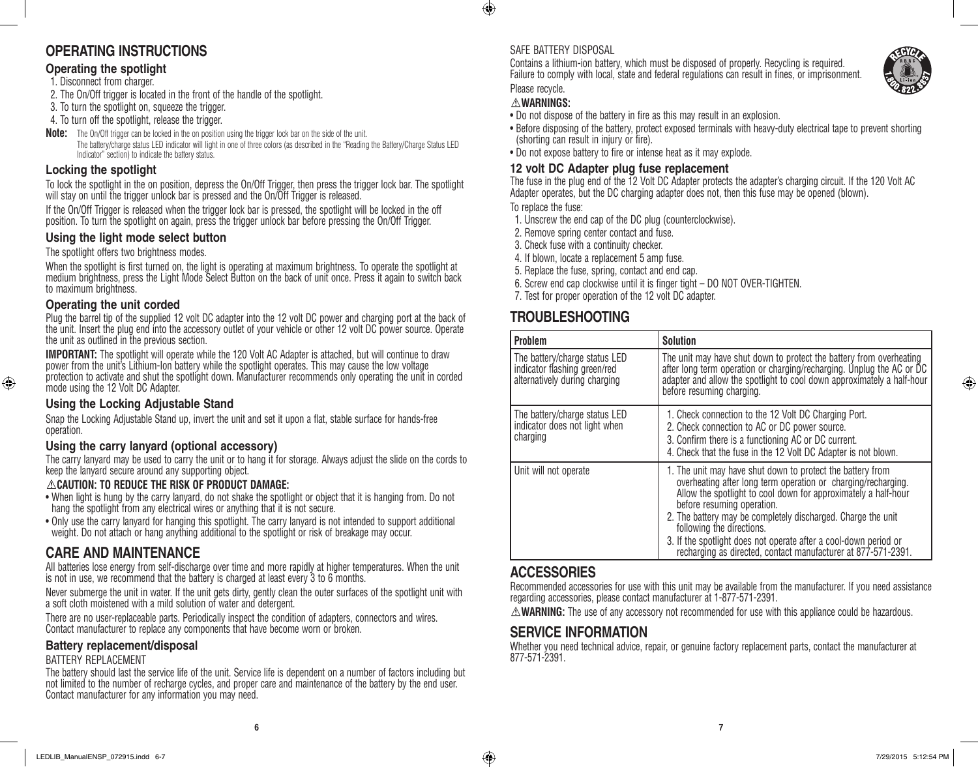# **OPERATING INSTRUCTIONS**

# **Operating the spotlight**

- 1. Disconnect from charger.
- 2. The On/Off trigger is located in the front of the handle of the spotlight.
- 3. To turn the spotlight on, squeeze the trigger.
- 4. To turn off the spotlight, release the trigger.
- **Note:** The On/Off trigger can be locked in the on position using the trigger lock bar on the side of the unit. The battery/charge status LED indicator will light in one of three colors (as described in the "Reading the Battery/Charge Status LED Indicator" section) to indicate the battery status.

# **Locking the spotlight**

To lock the spotlight in the on position, depress the On/Off Trigger, then press the trigger lock bar. The spotlight will stay on until the trigger unlock bar is pressed and the On/Off Trigger is released.

If the On/Off Trigger is released when the trigger lock bar is pressed, the spotlight will be locked in the off position. To turn the spotlight on again, press the trigger unlock bar before pressing the On/Off Trigger.

## **Using the light mode select button**

The spotlight offers two brightness modes.

When the spotlight is first turned on, the light is operating at maximum brightness. To operate the spotlight at medium brightness, press the Light Mode Select Button on the back of unit once. Press it again to switch back to maximum brightness.

## **Operating the unit corded**

⊕

Plug the barrel tip of the supplied 12 volt DC adapter into the 12 volt DC power and charging port at the back of the unit. Insert the plug end into the accessory outlet of your vehicle or other 12 volt DC power source. Operate the unit as outlined in the previous section.

**IMPORTANT:** The spotlight will operate while the 120 Volt AC Adapter is attached, but will continue to draw power from the unit's Lithium-Ion battery while the spotlight operates. This may cause the low voltage protection to activate and shut the spotlight down. Manufacturer recommends only operating the unit in corded mode using the 12 Volt DC Adapter.

# **Using the Locking Adjustable Stand**

Snap the Locking Adjustable Stand up, invert the unit and set it upon a flat, stable surface for hands-free operation.

# **Using the carry lanyard (optional accessory)**

The carry lanyard may be used to carry the unit or to hang it for storage. Always adjust the slide on the cords to keep the lanyard secure around any supporting object.

## **CAUTION: TO REDUCE THE RISK OF PRODUCT DAMAGE:**

- When light is hung by the carry lanyard, do not shake the spotlight or object that it is hanging from. Do not hang the spotlight from any electrical wires or anything that it is not secure.
- Only use the carry lanyard for hanging this spotlight. The carry lanyard is not intended to support additional weight. Do not attach or hang anything additional to the spotlight or risk of breakage may occur.

# **CARE AND MAINTENANCE**

All batteries lose energy from self-discharge over time and more rapidly at higher temperatures. When the unit is not in use, we recommend that the battery is charged at least every 3 to 6 months.

Never submerge the unit in water. If the unit gets dirty, gently clean the outer surfaces of the spotlight unit with a soft cloth moistened with a mild solution of water and detergent.

There are no user-replaceable parts. Periodically inspect the condition of adapters, connectors and wires. Contact manufacturer to replace any components that have become worn or broken.

## **Battery replacement/disposal**

#### BATTERY REPLACEMENT

The battery should last the service life of the unit. Service life is dependent on a number of factors including but not limited to the number of recharge cycles, and proper care and maintenance of the battery by the end user. Contact manufacturer for any information you may need.

# SAFE BATTERY DISPOSAL

Contains a lithium-ion battery, which must be disposed of properly. Recycling is required. Failure to comply with local, state and federal regulations can result in fines, or imprisonment. Please recycle.

#### **WARNINGS:**

 $\bigoplus$ 

- Do not dispose of the battery in fire as this may result in an explosion.
- Before disposing of the battery, protect exposed terminals with heavy-duty electrical tape to prevent shorting (shorting can result in injury or fire).
- Do not expose battery to fire or intense heat as it may explode.

# **12 volt DC Adapter plug fuse replacement**

The fuse in the plug end of the 12 Volt DC Adapter protects the adapter's charging circuit. If the 120 Volt AC Adapter operates, but the DC charging adapter does not, then this fuse may be opened (blown).

To replace the fuse:

- 1. Unscrew the end cap of the DC plug (counterclockwise).
- 2. Remove spring center contact and fuse.
- 3. Check fuse with a continuity checker.
- 4. If blown, locate a replacement 5 amp fuse.
- 5. Replace the fuse, spring, contact and end cap.
- 6. Screw end cap clockwise until it is finger tight DO NOT OVER-TIGHTEN.
- 7. Test for proper operation of the 12 volt DC adapter.

# **TROUBLESHOOTING**

| <b>Problem</b>                                                                                 | <b>Solution</b>                                                                                                                                                                                                                                                                                                                                                                                                                                               |
|------------------------------------------------------------------------------------------------|---------------------------------------------------------------------------------------------------------------------------------------------------------------------------------------------------------------------------------------------------------------------------------------------------------------------------------------------------------------------------------------------------------------------------------------------------------------|
| The battery/charge status LED<br>indicator flashing green/red<br>alternatively during charging | The unit may have shut down to protect the battery from overheating<br>after long term operation or charging/recharging. Unplug the AC or DC<br>adapter and allow the spotlight to cool down approximately a half-hour<br>before resuming charging.                                                                                                                                                                                                           |
| The battery/charge status LED<br>indicator does not light when<br>charging                     | 1. Check connection to the 12 Volt DC Charging Port.<br>2. Check connection to AC or DC power source.<br>3. Confirm there is a functioning AC or DC current.<br>4. Check that the fuse in the 12 Volt DC Adapter is not blown.                                                                                                                                                                                                                                |
| Unit will not operate                                                                          | 1. The unit may have shut down to protect the battery from<br>overheating after long term operation or charging/recharging.<br>Allow the spotlight to cool down for approximately a half-hour<br>before resuming operation.<br>2. The battery may be completely discharged. Charge the unit<br>following the directions.<br>3. If the spotlight does not operate after a cool-down period or<br>recharging as directed, contact manufacturer at 877-571-2391. |

# **ACCESSORIES**

Recommended accessories for use with this unit may be available from the manufacturer. If you need assistance regarding accessories, please contact manufacturer at 1-877-571-2391.

**WARNING:** The use of any accessory not recommended for use with this appliance could be hazardous.

# **SERVICE INFORMATION**

Whether you need technical advice, repair, or genuine factory replacement parts, contact the manufacturer at 877-571-2391.

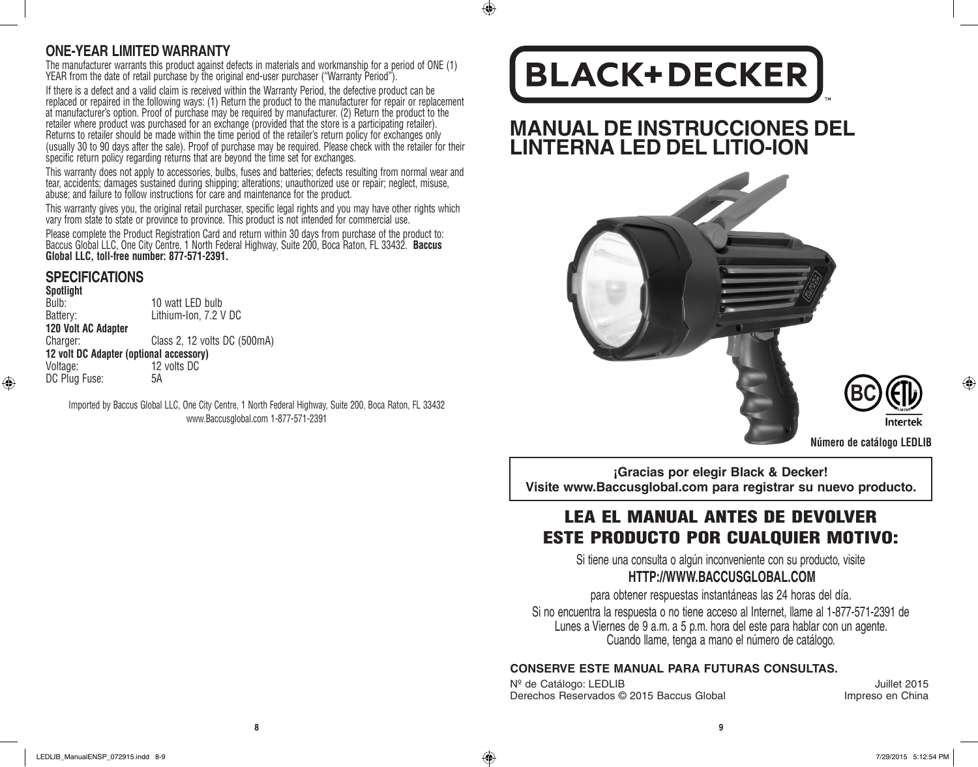# **ONE-YEAR LIMITED WARRANTY**

The manufacturer warrants this product against defects in materials and workmanship for a period of ONE (1) YEAR from the date of retail purchase by the original end-user purchaser ("Warranty Period").

If there is a defect and a valid claim is received within the Warranty Period, the defective product can be replaced or repaired in the following ways: (1) Return the product to the manufacturer for repair or replacement at manufacturer's option. Proof of purchase may be required by manufacturer. (2) Return the product to the retailer where product was purchased for an exchange (provided that the store is a participating retailer). Returns to retailer should be made within the time period of the retailer's return policy for exchanges only (usually 30 to 90 days after the sale). Proof of purchase may be required. Please check with the retailer for their specific return policy regarding returns that are beyond the time set for exchanges.

This warranty does not apply to accessories, bulbs, fuses and batteries; defects resulting from normal wear and tear, accidents; damages sustained during shipping; alterations; unauthorized use or repair; neglect, misuse, abuse; and failure to follow instructions for care and maintenance for the product.

This warranty gives you, the original retail purchaser, specific legal rights and you may have other rights which vary from state to state or province to province. This product is not intended for commercial use.

Please complete the Product Registration Card and return within 30 days from purchase of the product to: Baccus Global LLC, One City Centre, 1 North Federal Highway, Suite 200, Boca Raton, FL 33432. **Baccus Global LLC, toll-free number: 877-571-2391.** 

# **SPECIFICATIONS**

**Spotlight**

♠

Bulb: 10 watt LED bulb Battery: Lithium-Ion, 7.2 V DC **120 Volt AC Adapter** Charger: Class 2, 12 volts DC (500mA) **12 volt DC Adapter (optional accessory)** Voltage: 12 volts DC<br>DC Plug Fuse: 5A DC Plug Fuse:

Imported by Baccus Global LLC, One City Centre, 1 North Federal Highway, Suite 200, Boca Raton, FL 33432 www.Baccusglobal.com 1-877-571-2391

# **BLACK+DECKER**

 $\bigcirc$ 

**MANUAL DE INSTRUCCIONES DEL LINTERNA LED DEL LITIO-ION**





**Número de catálogo LEDLIB**

**¡Gracias por elegir Black & Decker! Visite www.Baccusglobal.com para registrar su nuevo producto.**

# LEA EL MANUAL ANTES DE DEVOLVER ESTE PRODUCTO POR CUALQUIER MOTIVO:

Si tiene una consulta o algún inconveniente con su producto, visite **HTTP://WWW.BACCUSGLOBAL.COM**

para obtener respuestas instantáneas las 24 horas del día.

Si no encuentra la respuesta o no tiene acceso al Internet, llame al 1-877-571-2391 de Lunes a Viernes de 9 a.m. a 5 p.m. hora del este para hablar con un agente. Cuando llame, tenga a mano el número de catálogo.

## **CONSERVE ESTE MANUAL PARA FUTURAS CONSULTAS.**

N<sup>o</sup> de Catálogo: LEDLIB **Juillet 2015** Derechos Reservados © 2015 Baccus Global Impreso en China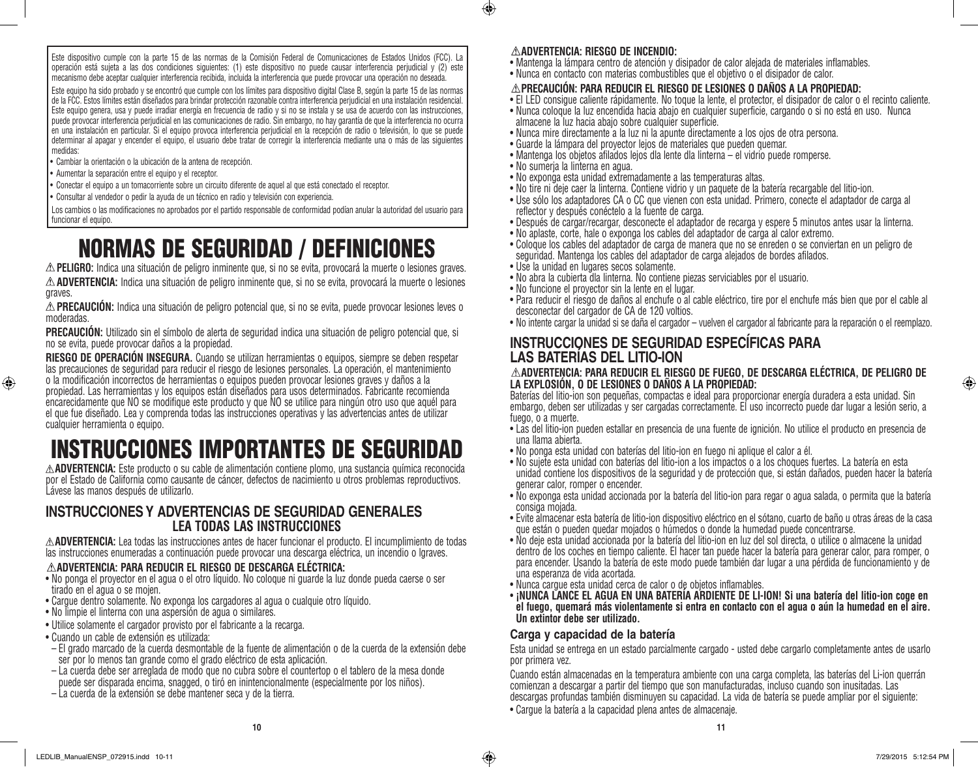Este dispositivo cumple con la parte 15 de las normas de la Comisión Federal de Comunicaciones de Estados Unidos (FCC). La operación está sujeta a las dos condiciones siguientes: (1) este dispositivo no puede causar interferencia perjudicial y (2) este mecanismo debe aceptar cualquier interferencia recibida, incluida la interferencia que puede provocar una operación no deseada.

Este equipo ha sido probado y se encontró que cumple con los límites para dispositivo digital Clase B, según la parte 15 de las normas de la FCC. Estos límites están diseñados para brindar protección razonable contra interferencia perjudicial en una instalación residencial. Este equipo genera, usa y puede irradiar energía en frecuencia de radio y si no se instala y se usa de acuerdo con las instrucciones, puede provocar interferencia perjudicial en las comunicaciones de radio. Sin embargo, no hay garantía de que la interferencia no ocurra en una instalación en particular. Si el equipo provoca interferencia perjudicial en la recepción de radio o televisión, lo que se puede determinar al apagar y encender el equipo, el usuario debe tratar de corregir la interferencia mediante una o más de las siguientes medidas:

- Cambiar la orientación o la ubicación de la antena de recepción.
- Aumentar la separación entre el equipo y el receptor.
- Conectar el equipo a un tomacorriente sobre un circuito diferente de aquel al que está conectado el receptor.
- Consultar al vendedor o pedir la ayuda de un técnico en radio y televisión con experiencia.

Los cambios o las modificaciones no aprobados por el partido responsable de conformidad podían anular la autoridad del usuario para funcionar el equipo.

# NORMAS DE SEGURIDAD / DEFINICIONES

**PELIGRO:** Indica una situación de peligro inminente que, si no se evita, provocará la muerte o lesiones graves. **ADVERTENCIA:** Indica una situación de peligro inminente que, si no se evita, provocará la muerte o lesiones graves.

**PRECAUCIÓN:** Indica una situación de peligro potencial que, si no se evita, puede provocar lesiones leves o moderadas.

**PRECAUCIÓN:** Utilizado sin el símbolo de alerta de seguridad indica una situación de peligro potencial que, si no se evita, puede provocar daños a la propiedad.

**RIESGO DE OPERACIÓN INSEGURA.** Cuando se utilizan herramientas o equipos, siempre se deben respetar las precauciones de seguridad para reducir el riesgo de lesiones personales. La operación, el mantenimiento o la modificación incorrectos de herramientas o equipos pueden provocar lesiones graves y daños a la propiedad. Las herramientas y los equipos están diseñados para usos determinados. Fabricante recomienda encarecidamente que NO se modifique este producto y que NO se utilice para ningún otro uso que aquél para el que fue diseñado. Lea y comprenda todas las instrucciones operativas y las advertencias antes de utilizar cualquier herramienta o equipo.

# INSTRUCCIONES IMPORTANTES DE SEGURIDAD

**ADVERTENCIA:** Este producto o su cable de alimentación contiene plomo, una sustancia química reconocida por el Estado de California como causante de cáncer, defectos de nacimiento u otros problemas reproductivos. Lávese las manos después de utilizarlo.

# **INSTRUCCIONES Y ADVERTENCIAS DE SEGURIDAD GENERALES LEA TODAS LAS INSTRUCCIONES**

**ADVERTENCIA:** Lea todas las instrucciones antes de hacer funcionar el producto. El incumplimiento de todas las instrucciones enumeradas a continuación puede provocar una descarga eléctrica, un incendio o lgraves.

#### **ADVERTENCIA: PARA REDUCIR EL RIESGO DE DESCARGA ELÉCTRICA:**

- No ponga el proyector en el agua o el otro líquido. No coloque ni guarde la luz donde pueda caerse o ser tirado en el agua o se mojen.
- Carque dentro solamente. No exponga los cargadores al agua o cualquie otro líquido.
- No limpie el linterna con una aspersión de agua o similares.
- Utilice solamente el cargador provisto por el fabricante a la recarga.
- Cuando un cable de extensión es utilizada:

⊕

- El grado marcado de la cuerda desmontable de la fuente de alimentación o de la cuerda de la extensión debe ser por lo menos tan grande como el grado eléctrico de esta aplicación.
- La cuerda debe ser arreglada de modo que no cubra sobre el countertop o el tablero de la mesa donde puede ser disparada encima, snagged, o tiró en inintencionalmente (especialmente por los niños).
- La cuerda de la extensión se debe mantener seca y de la tierra.

#### **ADVERTENCIA: RIESGO DE INCENDIO:**

- Mantenga la lámpara centro de atención y disipador de calor alejada de materiales inflamables.
- Nunca en contacto con materias combustibles que el objetivo o el disipador de calor.

#### **PRECAUCIÓN: PARA REDUCIR EL RIESGO DE LESIONES O DAÑOS A LA PROPIEDAD:**

- El LED consigue caliente rápidamente. No toque la lente, el protector, el disipador de calor o el recinto caliente.
- Nunca coloque la luz encendida hacia abajo en cualquier superficie, cargando o si no está en uso. Nunca almacene la luz hacia abajo sobre cualquier superficie.
- Nunca mire directamente a la luz ni la apunte directamente a los ojos de otra persona.
- Guarde la lámpara del proyector lejos de materiales que pueden quemar.
- Mantenga los objetos afilados lejos dla lente dla linterna el vidrio puede romperse.
- No sumerja la linterna en agua.

 $\bigcirc$ 

- No exponga esta unidad extremadamente a las temperaturas altas.
- No tire ni deje caer la linterna. Contiene vidrio y un paquete de la batería recargable del litio-ion.
- Use sólo los adaptadores CA o CC que vienen con esta unidad. Primero, conecte el adaptador de carga al reflector y después conéctelo a la fuente de carga.
- Después de cargar/recargar, desconecte el adaptador de recarga y espere 5 minutos antes usar la linterna.
- No aplaste, corte, hale o exponga los cables del adaptador de carga al calor extremo.
- Coloque los cables del adaptador de carga de manera que no se enreden o se conviertan en un peligro de seguridad. Mantenga los cables del adaptador de carga alejados de bordes afilados.
- Use la unidad en lugares secos solamente.
- No abra la cubierta dla linterna. No contiene piezas serviciables por el usuario.
- No funcione el proyector sin la lente en el lugar.
- Para reducir el riesgo de daños al enchufe o al cable eléctrico, tire por el enchufe más bien que por el cable al desconectar del cargador de CA de 120 voltios.
- No intente cargar la unidad si se daña el cargador vuelven el cargador al fabricante para la reparación o el reemplazo.

# **INSTRUCCIONES DE SEGURIDAD ESPECÍFICAS PARA LAS BATERÍAS DEL LITIO-ION**

#### **ADVERTENCIA: PARA REDUCIR EL RIESGO DE FUEGO, DE DESCARGA ELÉCTRICA, DE PELIGRO DE LA EXPLOSIÓN, O DE LESIONES O DAÑOS A LA PROPIEDAD:**

Baterías del litio-ion son pequeñas, compactas e ideal para proporcionar energía duradera a esta unidad. Sin embargo, deben ser utilizadas y ser cargadas correctamente. El uso incorrecto puede dar lugar a lesión serio, a fuego, o a muerte.

- Las del litio-ion pueden estallar en presencia de una fuente de ignición. No utilice el producto en presencia de una llama abierta.
- No ponga esta unidad con baterías del litio-ion en fuego ni aplique el calor a él.
- No sujete esta unidad con baterías del litio-ion a los impactos o a los choques fuertes. La batería en esta unidad contiene los dispositivos de la seguridad y de protección que, si están dañados, pueden hacer la batería generar calor, romper o encender.
- No exponga esta unidad accionada por la batería del litio-ion para regar o agua salada, o permita que la batería consiga mojada.
- Evite almacenar esta batería de litio-ion dispositivo eléctrico en el sótano, cuarto de baño u otras áreas de la casa que están o pueden quedar mojados o húmedos o donde la humedad puede concentrarse.
- No deje esta unidad accionada por la batería del litio-ion en luz del sol directa, o utilice o almacene la unidad dentro de los coches en tiempo caliente. El hacer tan puede hacer la batería para generar calor, para romper, o para encender. Usando la batería de este modo puede también dar lugar a una pérdida de funcionamiento y de una esperanza de vida acortada.
- Nunca cargue esta unidad cerca de calor o de objetos inflamables.
- **¡NUNCA LANCE EL AGUA EN UNA BATERÍA ARDIENTE DE LI-ION! Si una batería del litio-ion coge en el fuego, quemará más violentamente si entra en contacto con el agua o aún la humedad en el aire. Un extintor debe ser utilizado.**

# **Carga y capacidad de la batería**

Esta unidad se entrega en un estado parcialmente cargado - usted debe cargarlo completamente antes de usarlo por primera vez.

Cuando están almacenadas en la temperatura ambiente con una carga completa, las baterías del Li-ion querrán comienzan a descargar a partir del tiempo que son manufacturadas, incluso cuando son inusitadas. Las descargas profundas también disminuyen su capacidad. La vida de batería se puede ampliar por el siguiente: • Cargue la batería a la capacidad plena antes de almacenaje.

⊕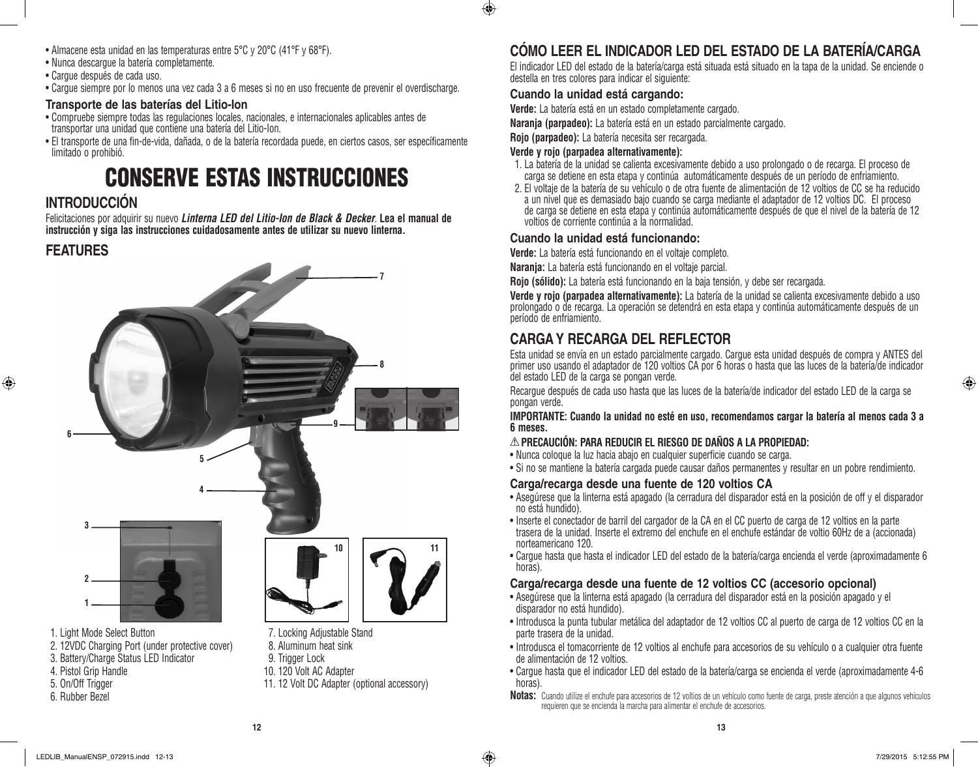- Almacene esta unidad en las temperaturas entre 5°C y 20°C (41°F y 68°F).
- Nunca descargue la batería completamente.
- Cargue después de cada uso.
- Cargue siempre por lo menos una vez cada 3 a 6 meses si no en uso frecuente de prevenir el overdischarge.

#### **Transporte de las baterías del Litio-Ion**

- Compruebe siempre todas las regulaciones locales, nacionales, e internacionales aplicables antes de transportar una unidad que contiene una batería del Litio-Ion.
- El transporte de una fin-de-vida, dañada, o de la batería recordada puede, en ciertos casos, ser específicamente limitado o prohibió.

# CONSERVE ESTAS INSTRUCCIONES

# **INTRODUCCIÓN**

Felicitaciones por adquirir su nuevo *Linterna LED del Litio-Ion de Black & Decker*. **Lea el manual de instrucción y siga las instrucciones cuidadosamente antes de utilizar su nuevo linterna.**

# **FEATURES**

♠



- 2. 12VDC Charging Port (under protective cover)
- 3. Battery/Charge Status LED Indicator
- 4. Pistol Grip Handle
- 5. On/Off Trigger
- 6. Rubber Bezel



- 10. 120 Volt AC Adapter
- 
- 11. 12 Volt DC Adapter (optional accessory)

# **CÓMO LEER EL INDICADOR LED DEL ESTADO DE LA BATERÍA/CARGA**

El indicador LED del estado de la batería/carga está situada está situado en la tapa de la unidad. Se enciende o destella en tres colores para indicar el siguiente:

### **Cuando la unidad está cargando:**

 $\bigoplus$ 

**Verde:** La batería está en un estado completamente cargado.

**Naranja (parpadeo):** La batería está en un estado parcialmente cargado.

**Rojo (parpadeo):** La batería necesita ser recargada.

#### **Verde y rojo (parpadea alternativamente):**

- 1. La batería de la unidad se calienta excesivamente debido a uso prolongado o de recarga. El proceso de carga se detiene en esta etapa y continúa automáticamente después de un período de enfriamiento.
- 2. El voltaje de la batería de su vehículo o de otra fuente de alimentación de 12 voltios de CC se ha reducido a un nivel que es demasiado bajo cuando se carga mediante el adaptador de 12 voltios DC. El proceso de carga se detiene en esta etapa y continúa automáticamente después de que el nivel de la batería de 12 voltios de corriente continúa a la normalidad.

#### **Cuando la unidad está funcionando:**

**Verde:** La batería está funcionando en el voltaje completo.

**Naranja:** La batería está funcionando en el voltaje parcial.

**Rojo (sólido):** La batería está funcionando en la baja tensión, y debe ser recargada.

**Verde y rojo (parpadea alternativamente):** La batería de la unidad se calienta excesivamente debido a uso prolongado o de recarga. La operación se detendrá en esta etapa y continúa automáticamente después de un período de enfriamiento.

# **CARGA Y RECARGA DEL REFLECTOR**

Esta unidad se envía en un estado parcialmente cargado. Cargue esta unidad después de compra y ANTES del primer uso usando el adaptador de 120 voltios CA por 6 horas o hasta que las luces de la batería/de indicador del estado LED de la carga se pongan verde.

Recargue después de cada uso hasta que las luces de la batería/de indicador del estado LED de la carga se pongan verde.

**IMPORTANTE: Cuando la unidad no esté en uso, recomendamos cargar la batería al menos cada 3 a 6 meses.**

#### **PRECAUCIÓN: PARA REDUCIR EL RIESGO DE DAÑOS A LA PROPIEDAD:**

- Nunca coloque la luz hacia abajo en cualquier superficie cuando se carga.
- Si no se mantiene la batería cargada puede causar daños permanentes y resultar en un pobre rendimiento.

### **Carga/recarga desde una fuente de 120 voltios CA**

- Asegúrese que la linterna está apagado (la cerradura del disparador está en la posición de off y el disparador no está hundido).
- Inserte el conectador de barril del cargador de la CA en el CC puerto de carga de 12 voltios en la parte trasera de la unidad. Inserte el extremo del enchufe en el enchufe estándar de voltio 60Hz de a (accionada) norteamericano 120.
- Cargue hasta que hasta el indicador LED del estado de la batería/carga encienda el verde (aproximadamente 6 horas).

#### **Carga/recarga desde una fuente de 12 voltios CC (accesorio opcional)**

- Asegúrese que la linterna está apagado (la cerradura del disparador está en la posición apagado y el disparador no está hundido).
- Introdusca la punta tubular metálica del adaptador de 12 voltios CC al puerto de carga de 12 voltios CC en la parte trasera de la unidad.
- Introdusca el tomacorriente de 12 voltios al enchufe para accesorios de su vehículo o a cualquier otra fuente de alimentación de 12 voltios.
- Cargue hasta que el indicador LED del estado de la batería/carga se encienda el verde (aproximadamente 4-6 horas).
- **Notas:** Cuando utilize el enchufe para accesorios de 12 voltios de un vehículo como fuente de carga, preste atención a que algunos vehículos requieren que se encienda la marcha para alimentar el enchufe de accesorios.

**12 13**

♠